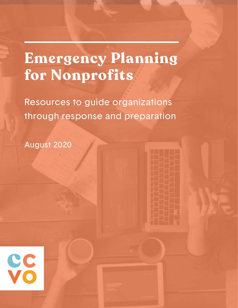# **Emergency Planning for Nonprofits**

Resources to guide organizations through response and preparation

August 2020

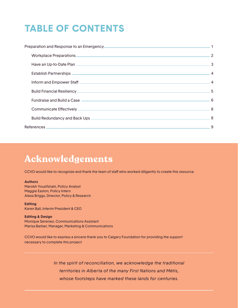# **TABLE OF CONTENTS**

| Preparation and Response to an Emergency<br>1                                                                                                                                                                                      |  |
|------------------------------------------------------------------------------------------------------------------------------------------------------------------------------------------------------------------------------------|--|
| Workplace Preparations 2                                                                                                                                                                                                           |  |
|                                                                                                                                                                                                                                    |  |
|                                                                                                                                                                                                                                    |  |
| Inform and Empower Staff <b>Construction Construction Construction</b> Construction Construction Construction Construction Construction Construction Construction Construction Construction Construction Construction Construction |  |
| Build Financial Resiliency 5                                                                                                                                                                                                       |  |
|                                                                                                                                                                                                                                    |  |
|                                                                                                                                                                                                                                    |  |
|                                                                                                                                                                                                                                    |  |
|                                                                                                                                                                                                                                    |  |
|                                                                                                                                                                                                                                    |  |

# **Acknowledgements**

CCVO would like to recognize and thank the team of staff who worked diligently to create this resource.

#### **Authors**

Marokh Yousifshahi, Policy Analyst Maggie Easton, Policy Intern Alexa Briggs, Director, Policy & Research

**Editing** Karen Ball, Interim President & CEO

**Editing & Design** Monique Sereneo, Communications Assistant Marisa Barber, Manager, Marketing & Communications

CCVO would like to express a sincere thank you to Calgary Foundation for providing the support necessary to complete this project.

> *In the spirit of reconciliation, we acknowledge the traditional territories in Alberta of the many First Nations and Métis, whose footsteps have marked these lands for centuries.*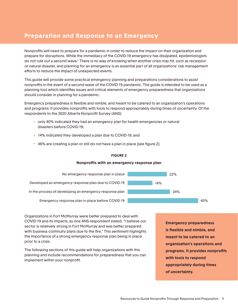# <span id="page-2-0"></span>**Preparation and Response to an Emergency**

Nonprofits will need to prepare for a pandemic in order to reduce the impact on their organization and prepare for disruptions. While the immediacy of the COVID-19 emergency has dissipated, epidemiologists do not rule out a second wave.<sup>1</sup> There is no way of knowing when another crisis may hit, such as recession or natural disaster, and planning for an emergency is an essential part of all organizations' risk management efforts to reduce the impact of unexpected events.

This guide will provide some practical emergency planning and preparations considerations to assist nonprofits in the event of a second wave of the COVID-19 pandemic. The guide is intended to be used as a planning tool which identifies issues and critical elements of emergency preparedness that organizations should consider in planning for a pandemic.

Emergency preparedness is flexible and nimble, and meant to be catered to an organization's operations and programs. It provides nonprofits with tools to respond appropriately during times of uncertainty. Of the respondents to the 2020 Alberta Nonprofit Survey (ANS):

- only 40% indicated they had an emergency plan for health emergencies or natural disasters before COVID-19;
- 14% indicated they developed a plan due to COVID-19; and
- 46% are creating a plan or still do not have a plan in place [see figure 2].

#### **FIGURE 2**

#### **Nonprofits with an emergency response plan**



Organizations in Fort McMurray were better prepared to deal with COVID-19 and its impacts, as one ANS respondent stated, "I believe our sector is relatively strong in Fort McMurray and was better prepared with business continuity plans due to the fire." This sentiment highlights the importance of a strong emergency response plan being in place prior to a crisis.

The following sections of this guide will help organizations with this planning and include recommendations for preparedness that you can implement within your nonprofit.

**Emergency preparedness is flexible and nimble, and meant to be catered to an organization's operations and programs. It provides nonprofits with tools to respond appropriately during times of uncertainty.**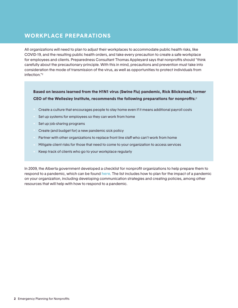# <span id="page-3-0"></span>**WORKPLACE PREPARATIONS**

All organizations will need to plan to adjust their workplaces to accommodate public health risks, like COVID-19, and the resulting public health orders, and take every precaution to create a safe workplace for employees and clients. Preparedness Consultant Thomas Appleyard says that nonprofits should "think carefully about the precautionary principle. With this in mind, precautions and prevention must take into consideration the mode of transmission of the virus, as well as opportunities to protect individuals from infection."2

**Based on lessons learned from the H1N1 virus (Swine Flu) pandemic, Rick Blickstead, former CEO of the Wellesley Institute, recommends the following preparations for nonprofits:** 3

- Create a culture that encourages people to stay home even if it means additional payroll costs
- Set up systems for employees so they can work from home
- Set up job-sharing programs
- Create (and budget for) a new pandemic sick policy
- Partner with other organizations to replace front line staff who can't work from home
- Mitigate client risks for those that need to come to your organization to access services
- Keep track of clients who go to your workplace regularly

In 2009, the Alberta government developed a checklist for nonprofit organizations to help prepare them to respond to a pandemic, which can be found **[here](https://open.alberta.ca/dataset/b7706bea-fa08-486b-b0c6-b967587232b5/resource/c65eb614-e001-4304-a46a-94387d0bd6ab/download/pandemic-checklist-group.pdf)**. The list includes how to plan for the impact of a pandemic on your organization, including developing communication strategies and creating policies, among other resources that will help with how to respond to a pandemic.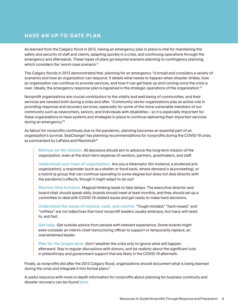### <span id="page-4-0"></span>**HAVE AN UP-TO-DATE PLAN**

As learned from the Calgary flood in 2013, having an emergency plan in place is vital for maintaining the safety and security of staff and clients, adapting quickly in a crisis, and continuing operations through the emergency and afterwards. These types of plans go beyond scenario planning to contingency planning, which considers the 'worst-case scenario'.4

The Calgary floods in 2013 demonstrated that, planning for an emergency "is broad and considers a variety of scenarios and how an organization can respond. It details what needs to happen when disaster strikes, how an organization can continue to provide services, and how it can get back up and running once the crisis is over. Ideally, the emergency response plan is ingrained in the strategic operations of the organization."5

Nonprofit organizations are crucial contributors to the vitality and well-being of communities, and their services are needed both during a crisis and after. "Community sector organizations play an active role in providing response and recovery services, especially for some of the more vulnerable members of our community such as newcomers, seniors, and individuals with disabilities – so it is especially important for these organizations to have systems and strategies in place to continue delivering their important services during an emergency."6

As fallout for nonprofits continues due to the pandemic, planning becomes an essential part of an organization's survival. SeaChange<sup>7</sup> has planning recommendations for nonprofits during the COVID-19 crisis, as summarized by LaPaina and MacIntosh:<sup>8</sup>

**Refocus on the mission.** All decisions should aim to advance the long-term mission of the organization, even at the short-term expense of vendors, partners, grantmakers, and staff.

**Understand your type of organization.** Are you a hibernator (for instance, a shuttered arts organization), a responder (such as a shelter or food bank, where demand is skyrocketing), or a hybrid (a group that can continue operating to some degree but does not deal directly with the pandemic's effects, though it might adapt to do so)?

**Shorten time horizons.** Magical thinking leads to fatal delays. The executive director and board chair should speak daily, boards should meet at least monthly, and they should set up a committee to deal with COVID-19-related issues and get ready to make hard decisions.

**Understand the nexus of mission, cash, and control.** "Tough-minded," "hard-nosed," and "ruthless" are not adjectives that most nonprofit leaders usually embrace, but many will need to, and fast.

**Get help.** Get outside advice from people with relevant experience. Some boards might even consider an interim chief restructuring officer to support or temporarily replace, an overwhelmed leader.

**Plan for the longer-term.** Don't weather the crisis only to ignore what will happen afterward. Stay in regular discussions with donors, and be realistic about the significant cuts in philanthropy and government support that are likely in the COVID-19 aftermath.

Finally, as nonprofits did after the 2013 Calgary flood, organizations should document what is being learned during the crisis and integrate it into formal plans.9

A useful resource with more in-depth information for nonprofits about planning for business continuity and disaster recovery can be found **[here](http://www.pwhce.ca/pdf/disasterI/Canada/Communications_NpowerNonprofitbusinesscontinuity.pdf)**.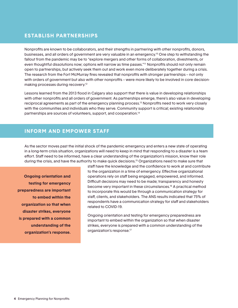#### <span id="page-5-0"></span>**ESTABLISH PARTNERSHIPS**

Nonprofits are known to be collaborators, and their strengths in partnering with other nonprofits, donors, businesses, and all orders of government are very valuable in an emergency.10 One step to withstanding the fallout from the pandemic may be to "explore mergers and other forms of collaboration, divestments, or even thoughtful dissolutions now; options will narrow as time passes."<sup>11</sup> Nonprofits should not only remain open to partnerships, but actively seek them out and work even more deliberately together during a crisis. The research from the Fort McMurray fires revealed that nonprofits with stronger partnerships – not only with orders of government but also with other nonprofits – were more likely to be involved in core decisionmaking processes during recovery.12

Lessons learned from the 2013 flood in Calgary also support that there is value in developing relationships with other nonprofits and all orders of government. As partnerships emerge, there's also value in developing reciprocal agreements as part of the emergency planning process.13 Nonprofits need to work very closely with the communities and individuals who they serve. Community support is critical; existing relationship partnerships are sources of volunteers, support, and cooperation.14

#### <span id="page-5-1"></span>**INFORM AND EMPOWER STAFF**

As the sector moves past the initial shock of the pandemic emergency and enters a new state of operating in a long-term crisis situation, organizations will need to keep in mind that responding to a disaster is a team effort. Staff need to be informed, have a clear understanding of the organization's mission, know their role during the crisis, and have the authority to make quick decisions.15 Organizations need to make sure that

**Ongoing orientation and testing for emergency preparedness are important to embed within the organization so that when disaster strikes, everyone is prepared with a common understanding of the organization's response.**

staff have the knowledge and the confidence to work at and contribute to the organization in a time of emergency. Effective organizational operations rely on staff being engaged, empowered, and informed. Difficult decisions may need to be made; transparency and honesty become very important in these circumstances.16 A practical method to incorporate this would be through a communication strategy for staff, clients, and stakeholders. The ANS results indicated that 75% of respondents have a communication strategy for staff and stakeholders related to COVID-19.

Ongoing orientation and testing for emergency preparedness are important to embed within the organization so that when disaster strikes, everyone is prepared with a common understanding of the organization's response.17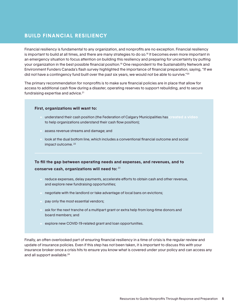#### <span id="page-6-0"></span>**BUILD FINANCIAL RESILIENCY**

Financial resiliency is fundamental to any organization, and nonprofits are no exception. Financial resiliency is important to build at all times, and there are many strategies to do so.<sup>18</sup> It becomes even more important in an emergency situation to focus attention on building this resiliency and preparing for uncertainty by putting your organization in the best possible financial position.<sup>19</sup> One respondent to the Sustainability Network and Environment Funders Canada's flash survey highlighted the importance of financial preparation, saying, "If we did not have a contingency fund built over the past six years, we would not be able to survive."<sup>20</sup>

The primary recommendation for nonprofits is to make sure financial policies are in place that allow for access to additional cash flow during a disaster, operating reserves to support rebuilding, and to secure fundraising expertise and advice.<sup>21</sup>

#### **First, organizations will want to:**

- understand their cash position (the Federation of Calgary Municipalities has **[created a video](https://www.youtube.com/watch?v=q_Y2D7YarSQ&feature=youtu.be;)** to help organizations understand their cash flow position);
- assess revenue streams and damage; and
- look at the dual bottom line, which includes a conventional financial outcome and social **impact outcome.** <sup>22</sup>

**To fill the gap between operating needs and expenses, and revenues, and to**  conserve cash, organizations will need to: 23

- reduce expenses, delay payments, accelerate efforts to obtain cash and other revenue, and explore new fundraising opportunities;
- negotiate with the landlord or take advantage of local bans on evictions;
- pay only the most essential vendors;
- ask for the next tranche of a multipart grant or extra help from long-time donors and board members; and
- explore new COVID-19-related grant and loan opportunities.

Finally, an often overlooked part of ensuring financial resiliency in a time of crisis is the regular review and update of insurance policies. Even if this step has not been taken, it is important to discuss this with your insurance broker once a crisis hits to ensure you know what is covered under your policy and can access any and all support available.<sup>24</sup>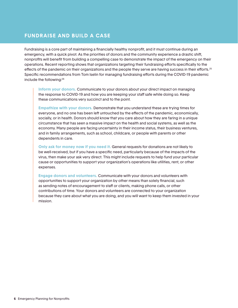#### <span id="page-7-0"></span>**FUNDRAISE AND BUILD A CASE**

Fundraising is a core part of maintaining a financially healthy nonprofit, and it must continue during an emergency, with a quick pivot. As the priorities of donors and the community experience a drastic shift, nonprofits will benefit from building a compelling case to demonstrate the impact of the emergency on their operations. Recent reporting shows that organizations targeting their fundraising efforts specifically to the effects of the pandemic on their organizations and the people they serve are having success in their efforts.<sup>25</sup> Specific recommendations from Tom Iselin for managing fundraising efforts during the COVID-19 pandemic include the following:26

**Inform your donors.** Communicate to your donors about your direct impact on managing the response to COVID-19 and how you are keeping your staff safe while doing so. Keep these communications very succinct and to the point.

**Empathize with your donors.** Demonstrate that you understand these are trying times for everyone, and no one has been left untouched by the effects of the pandemic, economically, socially, or in health. Donors should know that you care about how they are faring in a unique circumstance that has seen a massive impact on the health and social systems, as well as the economy. Many people are facing uncertainty in their income status, their business ventures, and in family arrangements, such as school, childcare, or people with parents or other dependents in care.

**Only ask for money now if you need it.** General requests for donations are not likely to be well-received, but if you have a specific need, particularly because of the impacts of the virus, then make your ask very direct. This might include requests to help fund your particular cause or opportunities to support your organization's operations like utilities, rent, or other expenses.

**Engage donors and volunteers.** Communicate with your donors and volunteers with opportunities to support your organization by other means than solely financial, such as sending notes of encouragement to staff or clients, making phone calls, or other contributions of time. Your donors and volunteers are connected to your organization because they care about what you are doing, and you will want to keep them invested in your mission.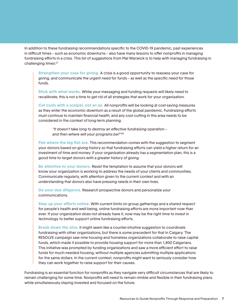In addition to these fundraising recommendations specific to the COVID-19 pandemic, past experiences in difficult times – such as economic downturns – also have many lessons to offer nonprofits in managing fundraising efforts in a crisis. This list of suggestions from Mal Warwick is to help with managing fundraising in challenging times:27

**Strengthen your case for giving.** A crisis is a good opportunity to reassess your case for giving, and communicate the urgent need for funds – as well as the specific need for those funds.

**Stick with what works.** While your messaging and funding requests will likely need to recalibrate, this is not a time to get rid of all strategies that work for your organization.

**Cut costs with a scalpel, not an ax.** All nonprofits will be looking at cost-saving measures as they enter the economic downturn as a result of the global pandemic. Fundraising efforts must continue to maintain financial health, and any cost-cutting in this area needs to be considered in the context of long-term planning.

*"It doesn't take long to destroy an effective fundraising operation – and then where will your programs be?"28*

**Fish where the big fish are.** This recommendation comes with the suggestion to segment your donors based on giving history so that fundraising efforts can yield a higher return for an investment of time and money. If your organization already has a segmentation plan, this is a good time to target donors with a greater history of giving.

**Be attentive to your donors.** Resist the temptation to assume that your donors will know your organization is working to address the needs of your clients and communities. Communicate regularly, with attention given to the current context and with an understanding that donors also have pressing needs in their own lives.

**Do your due diligence.** Research prospective donors and personalize your communications.

**Step up your efforts online.** With current limits on group gatherings and a shared respect for people's health and well-being, online fundraising efforts are more important now than ever. If your organization does not already have it, now may be the right time to invest in technology to better support online fundraising efforts.

**Break down the silos.** It might seem like a counter-intuitive suggestion to coordinate fundraising with other organizations, but there is some precedent for that in Calgary. The RESOLVE campaign saw nine housing and homeless organizations collaborate to raise capital funds, which made it possible to provide housing support for more than 1,800 Calgarians. This initiative was prompted by funding organizations and saw a more efficient effort to raise funds for much-needed housing, without multiple agencies submitting multiple applications for the same dollars. In the current context, nonprofits might want to seriously consider how they can work together to raise support for their causes.

Fundraising is an essential function for nonprofits as they navigate very difficult circumstances that are likely to remain challenging for some time. Nonprofits will need to remain nimble and flexible in their fundraising plans while simultaneously staying invested and focused on the future.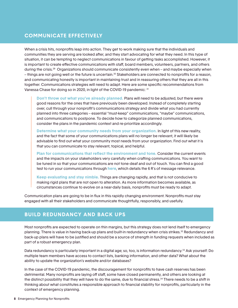### <span id="page-9-0"></span>**COMMUNICATE EFFECTIVELY**

When a crisis hits, nonprofits leap into action. They get to work making sure that the individuals and communities they are serving are looked after, and they start advocating for what they need. In this type of situation, it can be tempting to neglect communications in favour of getting tasks accomplished. However, it is important to create effective communications with staff, board members, volunteers, partners, and others during the crisis.<sup>29</sup> Organizations should communicate consistently even when – and maybe especially when – things are not going well or the future is uncertain.30 Stakeholders are connected to nonprofits for a reason, and communicating honestly is important in maintaining trust and in reassuring others that they are all in this together. Communications strategies will need to adapt. Here are some specific recommendations from Vanessa Chase for doing so in 2020, in light of the COVID-19 pandemic: 31

**Don't throw out what you've already planned.** Plans will need to be adjusted, but there were good reasons for the ones that have previously been developed. Instead of completely starting over, cull through your nonprofit's communications strategy and divide what you had currently planned into three categories – essential "must-keep" communications, "maybe" communications, and communications to postpone. To decide how to categorize planned communications, consider the plans in the pandemic context and re-prioritize accordingly.

**Determine what your community needs from your organization.** In light of this new reality, and the fact that some of your communications plans will no longer be relevant, it will likely be advisable to find out what your community most needs from your organization. Find out what it is that you can communicate to stay relevant, topical, and helpful.

**Plan for communications that reflect the environment and tone.** Consider the current events and the impacts on your stakeholders very carefully when crafting communications. You want to be tuned in so that your communications are not tone-deaf and out of touch. You can find a good test to run your communications through **[here](https://www.nonprofitmarketingguide.com/blog/2020/03/24/how-to-be-relevant-now-and-what-not-to-say/)**, which details the 6 R's of message relevance.

**Keep evaluating and stay nimble.** Things are changing rapidly, and that is not conducive to making rigid plans that are not open to alteration. As more information becomes available, as circumstances continue to evolve on a near-daily basis, nonprofits must be ready to adapt.

Communication plans are going to be in flux in this rapidly changing environment. Nonprofits must stay engaged with all their stakeholders and communicate thoughtfully, responsibly, and usefully.

#### <span id="page-9-1"></span>**BUILD REDUNDANCY AND BACK UPS**

Most nonprofits are expected to operate on thin margins, but this strategy does not lend itself to emergency planning. There is value in having back-up plans and built-in redundancy when crisis strikes.32 Redundancy and back-up plans will have to be justified and should be a source of strength in funding requests when included as part of a robust emergency plan.

Data redundancy is particularly important in a digital age; so, too, is information redundancy.33 Ask yourself: Do multiple team members have access to contact lists, banking information, and other data? What about the ability to update the organization's website and/or databases?

In the case of the COVID-19 pandemic, the discouragement for nonprofits to have cash reserves has been detrimental. Many nonprofits are laying off staff, some have closed permanently, and others are looking at the distinct possibility that they will have to do the same, due to financial stress.<sup>34</sup> There needs to be a shift in thinking about what constitutes a responsible approach to financial stability for nonprofits, particularly in the context of emergency planning.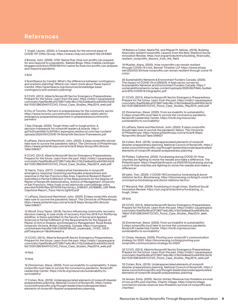## <span id="page-10-0"></span>**References**

1 Vogel, Lauren. (2020). Is Canada ready for the second wave of COVID-19? CMAJ Group. https://www.cmaj.ca/content/192/24/E664

2 Bonnar, John. (2009). H1N1 Swine Flue: How non-profits can prepare for and respond to a pandemic. Rabble Blogs. https://rabble.ca/blogs/ bloggers/johnbon/2009/09/h1n1-swine-flu-how-non-profits-can-prepareand-respond-pandemic

3 Ibid.

4 GrantSpace by Candid. What's the difference between contingency and scenario planning? Where can I learn more about these topics? Candid. https://grantspace.org/resources/knowledge-base/ contingency-and-scenario-planning/

5 CCVO. (2013). Alberta Nonprofit Sector Emergency Preparedness. Prepare for the future. Learn from the past. https://static1.squarespace. com/static/5aef5b46cef3728571e6c46c/t/5b33e8ea03ce64393c5e16 6d/1530128630447/CCVO\_Flood\_Case\_Studies\_May2014\_web.pdf

6 City of Toronto. Partners in preparedness for the community sector. https://www.toronto.ca/community-people/public-safety-alerts/ emergency-preparedness/partners-in-preparedness/communitypartners/

7 Sea Change. (2020). Tough times callf or tough action: A decision framework for nonprofit leaders & boards. http:// gd7xi2tioeh408c7o34706rc-wpengine.netdna-ssl.com/wp-content/ uploads/2020/04/COVID-19-Nonprofit-Decision-Framework.pdf

8 LaPiana, David and MacIntosh, John. (2020). 8 steps nonprofits should take now to survive the pandemic fallout. The Chronicle of Philanthropy. https://www.philanthropy.com/article/8-Steps-Nonprofits-Should-Take/248427

9 CCVO. (2013). Alberta Nonprofit Sector Emergency Preparedness. Prepare for the future. Learn from the past. https://static1.squarespace. com/static/5aef5b46cef3728571e6c46c/t/5b33e8ea03ce64393c5e16 6d/1530128630447/CCVO\_Flood\_Case\_Studies\_May2014\_web.pdf

10 Harris, Tracy. (2017). Collaborative frameworks in nonprofit emergency response: Examining earthquake preparedness and response in the San Francisco Bay Area. Capstone Research Report Submitted in Partial Fulfillment of the Requirements for the Degree of Master of Nonprofit Administration, School of Management. University of San Francisco. https://cpb-us-w2.wpmucdn.com/usfblogs.usfca. edu/dist/9/244/files/2016/05/harristracy\_6169437\_63768665\_USF-MNA-Capstone-Report\_Tracy-Harris-2gt6rl0.pdf

11 LaPiana, David and MacIntosh, John. (2020). 8 steps nonprofits should take now to survive the pandemic fallout. The Chronicle of Philanthropy. https://www.philanthropy.com/article/8-Steps-Nonprofits-Should-Take/248427

12 Woolf, Erica Taylor. (2018). Factors influencing community recovery decision making; A case study of recovery from the 2016 Fort McMurray wildfires. A thesis submitted to the Faculty of Social and Applied Sciences in Partial Fulfilment of the Requirements for the Degree of Master of Arts in Disaster and Emergency Management. Royal Roads University Victoria, British Columbia, Canada. https://viurrspace. ca/bitstream/handle/10613/6059/Woolf\_royalroads\_1313O\_10531. pdf?sequence=1&isAllowed=y

13 CCVO. (2013). Alberta Nonprofit Sector Emergency Preparedness. Prepare for the future. Learn from the past. https://static1.squarespace. com/static/5aef5b46cef3728571e6c46c/t/5b33e8ea03ce64393c5e16 6d/1530128630447/CCVO\_Flood\_Case\_Studies\_May2014\_web.pdf

14 Ibid.

15 Ibid.

16 Zimmerman, Steve. (2020). From survivability to sustainability: 5 steps nonprofits must take to survive the coronavirus pandemic. Nonprofit Leadership Center. https://nlctb.org/resources/sustainability-tosurvivability/

17 Cohen, Rick. (2018). Underappreciated elements of nonprofi disaster preparedness planning. National Council of Nonprofis. https://www. councilofnonprofits.org/thought-leadership/underappreciatedelements-of-nonprofit-disaster-preparedness-planning

18 Rebecca Coker, Neela Pal, and Miguel M. Salinas. (2018). Building financially resilient nonprofits: Lessons from the field. Stanford Social Innovation Review. https://ssir.org/articles/entry/building\_financially\_ resilient\_nonprofits\_lessons\_from\_the\_field

19 Mueller, Alana. (2020). How nonprofits can remain resilient through COVID-19 crisis. Bennet Thrasher LLP. https://www.btcpa. net/2020/03/30/how-nonprofits-can-remain-resilient-through-covid-19 crisis/

20 Sustainability Network & Environment Funders Canada. (2020). The impact of COVID-19 on ENGOS: A flash sector survey by Sustainability Network and Environment Funders Canada. https:// sustainabilitynetwork.ca/wp-content/uploads/2020/06/FINAL-SusNetand-EFN-COVID19-Infographic.pdf

21 CCVO. (2013). Alberta Nonprofit Sector Emergency Preparedness. Prepare for the future. Learn from the past. https://static1.squarespace. com/static/5aef5b46cef3728571e6c46c/t/5b33e8ea03ce64393c5e16 6d/1530128630447/CCVO\_Flood\_Case\_Studies\_May2014\_web.pdf

22 Zimmerman, Steve. (2020). From survivability to sustainability: 5 steps nonprofits must take to survive the coronavirus pandemic. Nonprofit Leadership Center. https://nlctb.org/resources/ sustainability-to-survivability/

23 LaPiana, David and MacIntosh, John. (2020). 8 steps nonprofits should take now to survive the pandemic fallout. The Chronicle of Philanthropy. https://www.philanthropy.com/article/8-Steps-Nonprofits-Should-Take/248427

24 Cohen, Rick. (2018). Underappreciated elements of nonprofi disaster preparedness planning. National Council of Nonprofis. https:// www.councilofnonprofits.org/thought-leadership/underappreciatedelements-of-nonprofit-disaster-preparedness-planning

25 Phillips, Catherine. (2020). Fundraising during COVID-19: How charities are fighting to move the needle and make a difference. The Philanthropist. https://thephilanthropist.ca/2020/05/fundraising-duringcovid-19-how-charities-are-fighting-to-move-the-needle-and-make-adifference/

26 Iselin, Tom. (2020). 5 COVID-19/Coronavirus fundraising & donor relations tactics. Bloomerang. https://bloomerang.co/blog/5-covid-19- coronavirus-fundraising-and-donor-relations-tactics/

27 Warwick, Mal. (2009). Fundraising in tough times. Stanford Social Innovation Review. https://ssir.org/articles/entry/fundraising\_in\_ tough\_times

#### 28 Ibid.

29 CCVO. (2013). Alberta Nonprofit Sector Emergency Preparedness. Prepare for the future. Learn from the past. https://static1.squarespace. com/static/5aef5b46cef3728571e6c46c/t/5b33e8ea03ce64393c5e 166d/1530128630447/CCVO\_Flood\_Case\_Studies\_May2014\_web. pdf

30 Zimmerman, Steve. (2020). From survivability to sustainability: 5 steps nonprofits must take to survive the coronavirus pandemic. Nonprofit Leadership Center. https://nlctb.org/resources/ sustainability-to-survivability/

31 Chase, Vanessa. (2020). Pivoting your nonprofit's communication strategy for 2020. https://bloomerang.co/blog/pivoting-your-nonprofits-communication-strategy-for-2020/

32 CCVO. (2013). Alberta Nonprofit Sector Emergency Preparedness. Prepare for the future. Learn from the past. https://static1.squarespace. com/static/5aef5b46cef3728571e6c46c/t/5b33e8ea03ce64393c5e16 6d/1530128630447/CCVO\_Flood\_Case\_Studies\_May2014\_web.pdf

33 Cohen, Rick. (2018). Underappreciated elements of nonprofi disaster preparedness planning. National Council of Nonprofis. https:// www.councilofnonprofits.org/thought-leadership/underappreciatedelements-of-nonprofit-disaster-preparedness-planning

34 Jensen, Emily. (2020). Sector stories: Revenue loss threatens survival of non-profits and charities. Charity Village. https://charityvillage. com/sector-stories-revenue-loss-threatens-survival-of-nonprofits-andcharities/